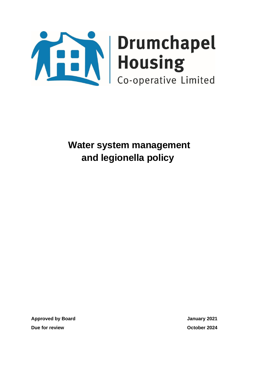

**Approved by Board January 2021 Due for review October 2024**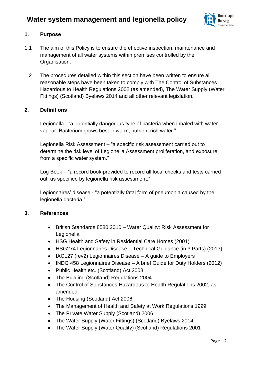

### **1. Purpose**

- 1.1 The aim of this Policy is to ensure the effective inspection, maintenance and management of all water systems within premises controlled by the Organisation.
- 1.2 The procedures detailed within this section have been written to ensure all reasonable steps have been taken to comply with The Control of Substances Hazardous to Health Regulations 2002 (as amended), The Water Supply (Water Fittings) (Scotland) Byelaws 2014 and all other relevant legislation.

### **2. Definitions**

Legionella - "a potentially dangerous type of bacteria when inhaled with water vapour. Bacterium grows best in warm, nutrient rich water."

Legionella Risk Assessment – "a specific risk assessment carried out to determine the risk level of Legionella Assessment proliferation, and exposure from a specific water system."

Log Book – "a record book provided to record all local checks and tests carried out, as specified by legionella risk assessment."

Legionnaires' disease - "a potentially fatal form of pneumonia caused by the legionella bacteria."

### **3. References**

- British Standards 8580:2010 Water Quality: Risk Assessment for Legionella
- HSG Health and Safety in Residential Care Homes (2001)
- HSG274 Legionnaires Disease Technical Guidance (in 3 Parts) (2013)
- IACL27 (rev2) Legionnaires Disease A guide to Employers
- INDG 458 Legionnaires Disease A brief Guide for Duty Holders (2012)
- Public Health etc. (Scotland) Act 2008
- The Building (Scotland) Regulations 2004
- The Control of Substances Hazardous to Health Regulations 2002, as amended
- The Housing (Scotland) Act 2006
- The Management of Health and Safety at Work Regulations 1999
- The Private Water Supply (Scotland) 2006
- The Water Supply (Water Fittings) (Scotland) Byelaws 2014
- The Water Supply (Water Quality) (Scotland) Regulations 2001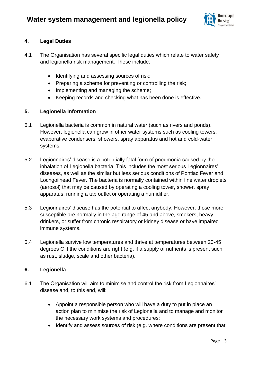

## **4. Legal Duties**

- 4.1 The Organisation has several specific legal duties which relate to water safety and legionella risk management. These include:
	- Identifying and assessing sources of risk;
	- Preparing a scheme for preventing or controlling the risk;
	- Implementing and managing the scheme;
	- Keeping records and checking what has been done is effective.

### **5. Legionella Information**

- 5.1 Legionella bacteria is common in natural water (such as rivers and ponds). However, legionella can grow in other water systems such as cooling towers, evaporative condensers, showers, spray apparatus and hot and cold-water systems.
- 5.2 Legionnaires' disease is a potentially fatal form of pneumonia caused by the inhalation of Legionella bacteria. This includes the most serious Legionnaires' diseases, as well as the similar but less serious conditions of Pontiac Fever and Lochgoilhead Fever. The bacteria is normally contained within fine water droplets (aerosol) that may be caused by operating a cooling tower, shower, spray apparatus, running a tap outlet or operating a humidifier.
- 5.3 Legionnaires' disease has the potential to affect anybody. However, those more susceptible are normally in the age range of 45 and above, smokers, heavy drinkers, or suffer from chronic respiratory or kidney disease or have impaired immune systems.
- 5.4 Legionella survive low temperatures and thrive at temperatures between 20-45 degrees C if the conditions are right (e.g. if a supply of nutrients is present such as rust, sludge, scale and other bacteria).

### **6. Legionella**

- 6.1 The Organisation will aim to minimise and control the risk from Legionnaires' disease and, to this end, will:
	- Appoint a responsible person who will have a duty to put in place an action plan to minimise the risk of Legionella and to manage and monitor the necessary work systems and procedures;
	- Identify and assess sources of risk (e.g. where conditions are present that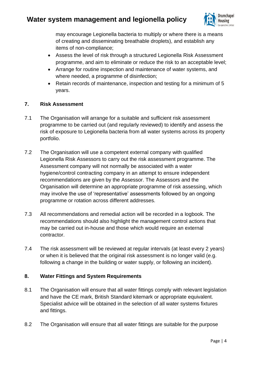

may encourage Legionella bacteria to multiply or where there is a means of creating and disseminating breathable droplets), and establish any items of non-compliance;

- Assess the level of risk through a structured Legionella Risk Assessment programme, and aim to eliminate or reduce the risk to an acceptable level;
- Arrange for routine inspection and maintenance of water systems, and where needed, a programme of disinfection;
- Retain records of maintenance, inspection and testing for a minimum of 5 years.

### **7. Risk Assessment**

- 7.1 The Organisation will arrange for a suitable and sufficient risk assessment programme to be carried out (and regularly reviewed) to identify and assess the risk of exposure to Legionella bacteria from all water systems across its property portfolio.
- 7.2 The Organisation will use a competent external company with qualified Legionella Risk Assessors to carry out the risk assessment programme. The Assessment company will not normally be associated with a water hygiene/control contracting company in an attempt to ensure independent recommendations are given by the Assessor. The Assessors and the Organisation will determine an appropriate programme of risk assessing, which may involve the use of 'representative' assessments followed by an ongoing programme or rotation across different addresses.
- 7.3 All recommendations and remedial action will be recorded in a logbook. The recommendations should also highlight the management control actions that may be carried out in-house and those which would require an external contractor.
- 7.4 The risk assessment will be reviewed at regular intervals (at least every 2 years) or when it is believed that the original risk assessment is no longer valid (e.g. following a change in the building or water supply, or following an incident).

## **8. Water Fittings and System Requirements**

- 8.1 The Organisation will ensure that all water fittings comply with relevant legislation and have the CE mark, British Standard kitemark or appropriate equivalent. Specialist advice will be obtained in the selection of all water systems fixtures and fittings.
- 8.2 The Organisation will ensure that all water fittings are suitable for the purpose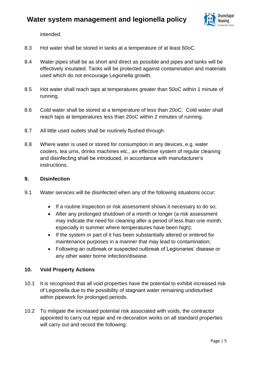

intended.

- 8.3 Hot water shall be stored in tanks at a temperature of at least 60oC.
- 8.4 Water pipes shall be as short and direct as possible and pipes and tanks will be effectively insulated. Tanks will be protected against contamination and materials used which do not encourage Legionella growth.
- 8.5 Hot water shall reach taps at temperatures greater than 50oC within 1 minute of running.
- 8.6 Cold water shall be stored at a temperature of less than 20oC. Cold water shall reach taps at temperatures less than 20oC within 2 minutes of running.
- 8.7 All little used outlets shall be routinely flushed through.
- 8.8 Where water is used or stored for consumption in any devices, e.g. water coolers, tea urns, drinks machines etc., an effective system of regular cleaning and disinfecting shall be introduced, in accordance with manufacturer's instructions.

#### **9. Disinfection**

- 9.1 Water services will be disinfected when any of the following situations occur:
	- If a routine inspection or risk assessment shows it necessary to do so;
	- After any prolonged shutdown of a month or longer (a risk assessment may indicate the need for cleaning after a period of less than one month, especially in summer where temperatures have been high);
	- If the system or part of it has been substantially altered or entered for maintenance purposes in a manner that may lead to contamination;
	- Following an outbreak or suspected outbreak of Legionaries' disease or any other water borne infection/disease.

### **10. Void Property Actions**

- 10.1 It is recognised that all void properties have the potential to exhibit increased risk of Legionella due to the possibility of stagnant water remaining undisturbed within pipework for prolonged periods.
- 10.2 To mitigate the increased potential risk associated with voids, the contractor appointed to carry out repair and re-decoration works on all standard properties will carry out and record the following: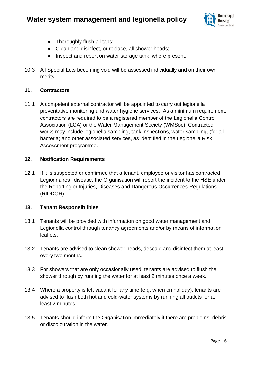

- Thoroughly flush all taps;
- Clean and disinfect, or replace, all shower heads;
- Inspect and report on water storage tank, where present.
- 10.3 All Special Lets becoming void will be assessed individually and on their own merits.

### **11. Contractors**

11.1 A competent external contractor will be appointed to carry out legionella preventative monitoring and water hygiene services. As a minimum requirement, contractors are required to be a registered member of the Legionella Control Association (LCA) or the Water Management Society (WMSoc). Contracted works may include legionella sampling, tank inspections, water sampling, (for all bacteria) and other associated services, as identified in the Legionella Risk Assessment programme.

### **12. Notification Requirements**

12.1 If it is suspected or confirmed that a tenant, employee or visitor has contracted Legionnaires ' disease, the Organisation will report the incident to the HSE under the Reporting or Injuries, Diseases and Dangerous Occurrences Regulations (RIDDOR).

### **13. Tenant Responsibilities**

- 13.1 Tenants will be provided with information on good water management and Legionella control through tenancy agreements and/or by means of information leaflets.
- 13.2 Tenants are advised to clean shower heads, descale and disinfect them at least every two months.
- 13.3 For showers that are only occasionally used, tenants are advised to flush the shower through by running the water for at least 2 minutes once a week.
- 13.4 Where a property is left vacant for any time (e.g. when on holiday), tenants are advised to flush both hot and cold-water systems by running all outlets for at least 2 minutes.
- 13.5 Tenants should inform the Organisation immediately if there are problems, debris or discolouration in the water.